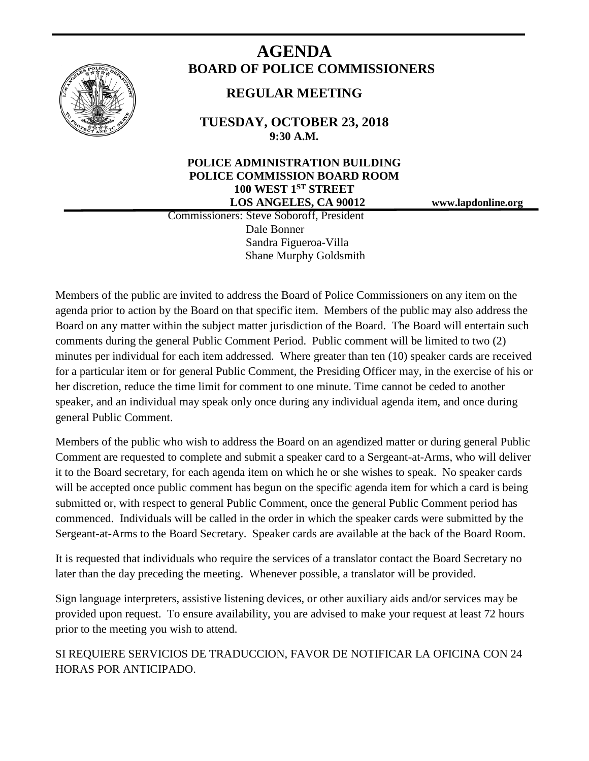

# **AGENDA BOARD OF POLICE COMMISSIONERS**

# **REGULAR MEETING**

**TUESDAY, OCTOBER 23, 2018 9:30 A.M.**

# **POLICE ADMINISTRATION BUILDING POLICE COMMISSION BOARD ROOM 100 WEST 1ST STREET LOS ANGELES, CA 90012 www.lapdonline.org**

 Commissioners: Steve Soboroff, President Dale Bonner Sandra Figueroa-Villa Shane Murphy Goldsmith

Members of the public are invited to address the Board of Police Commissioners on any item on the agenda prior to action by the Board on that specific item. Members of the public may also address the Board on any matter within the subject matter jurisdiction of the Board. The Board will entertain such comments during the general Public Comment Period. Public comment will be limited to two (2) minutes per individual for each item addressed. Where greater than ten (10) speaker cards are received for a particular item or for general Public Comment, the Presiding Officer may, in the exercise of his or her discretion, reduce the time limit for comment to one minute. Time cannot be ceded to another speaker, and an individual may speak only once during any individual agenda item, and once during general Public Comment.

Members of the public who wish to address the Board on an agendized matter or during general Public Comment are requested to complete and submit a speaker card to a Sergeant-at-Arms, who will deliver it to the Board secretary, for each agenda item on which he or she wishes to speak. No speaker cards will be accepted once public comment has begun on the specific agenda item for which a card is being submitted or, with respect to general Public Comment, once the general Public Comment period has commenced. Individuals will be called in the order in which the speaker cards were submitted by the Sergeant-at-Arms to the Board Secretary. Speaker cards are available at the back of the Board Room.

It is requested that individuals who require the services of a translator contact the Board Secretary no later than the day preceding the meeting. Whenever possible, a translator will be provided.

Sign language interpreters, assistive listening devices, or other auxiliary aids and/or services may be provided upon request. To ensure availability, you are advised to make your request at least 72 hours prior to the meeting you wish to attend.

SI REQUIERE SERVICIOS DE TRADUCCION, FAVOR DE NOTIFICAR LA OFICINA CON 24 HORAS POR ANTICIPADO.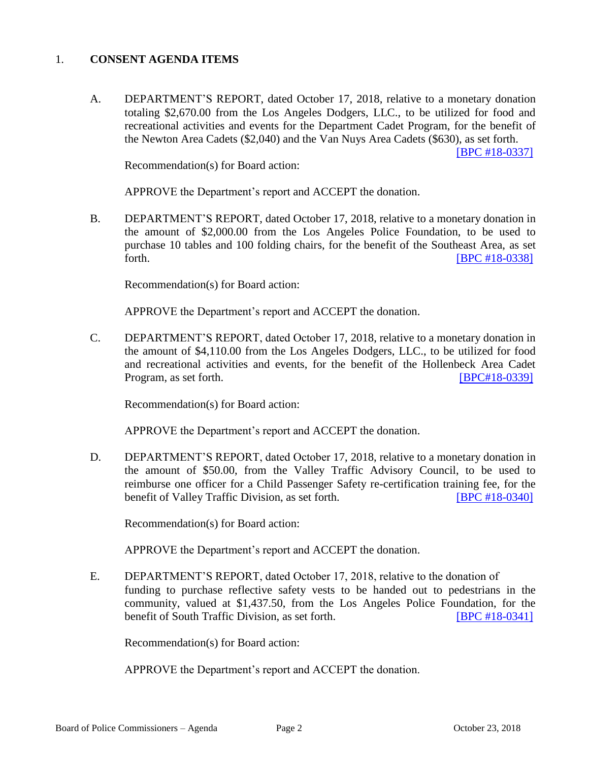#### 1. **CONSENT AGENDA ITEMS**

A. DEPARTMENT'S REPORT, dated October 17, 2018, relative to a monetary donation totaling \$2,670.00 from the Los Angeles Dodgers, LLC., to be utilized for food and recreational activities and events for the Department Cadet Program, for the benefit of the Newton Area Cadets (\$2,040) and the Van Nuys Area Cadets (\$630), as set forth.

[\[BPC #18-0337\]](http://www.lapdpolicecom.lacity.org/102318/BPC_18-0337.pdf)

Recommendation(s) for Board action:

APPROVE the Department's report and ACCEPT the donation.

B. DEPARTMENT'S REPORT, dated October 17, 2018, relative to a monetary donation in the amount of \$2,000.00 from the Los Angeles Police Foundation, to be used to purchase 10 tables and 100 folding chairs, for the benefit of the Southeast Area, as set forth. **IBPC** #18-0338]

Recommendation(s) for Board action:

APPROVE the Department's report and ACCEPT the donation.

C. DEPARTMENT'S REPORT, dated October 17, 2018, relative to a monetary donation in the amount of \$4,110.00 from the Los Angeles Dodgers, LLC., to be utilized for food and recreational activities and events, for the benefit of the Hollenbeck Area Cadet Program, as set forth. **[\[BPC#18-0339\]](http://www.lapdpolicecom.lacity.org/102318/BPC_18-0339.pdf)** 

Recommendation(s) for Board action:

APPROVE the Department's report and ACCEPT the donation.

D. DEPARTMENT'S REPORT, dated October 17, 2018, relative to a monetary donation in the amount of \$50.00, from the Valley Traffic Advisory Council, to be used to reimburse one officer for a Child Passenger Safety re-certification training fee, for the benefit of Valley Traffic Division, as set forth. [\[BPC #18-0340\]](http://www.lapdpolicecom.lacity.org/102318/BPC_18-0340.pdf)

Recommendation(s) for Board action:

APPROVE the Department's report and ACCEPT the donation.

E. DEPARTMENT'S REPORT, dated October 17, 2018, relative to the donation of funding to purchase reflective safety vests to be handed out to pedestrians in the community, valued at \$1,437.50, from the Los Angeles Police Foundation, for the benefit of South Traffic Division, as set forth. **[\[BPC #18-0341\]](http://www.lapdpolicecom.lacity.org/102318/BPC_18-0341.pdf)** 

Recommendation(s) for Board action:

APPROVE the Department's report and ACCEPT the donation.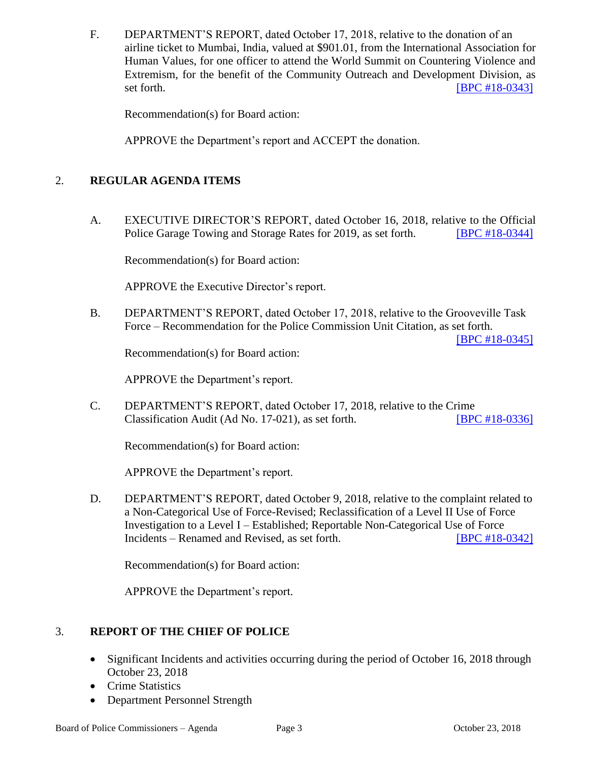F. DEPARTMENT'S REPORT, dated October 17, 2018, relative to the donation of an airline ticket to Mumbai, India, valued at \$901.01, from the International Association for Human Values, for one officer to attend the World Summit on Countering Violence and Extremism, for the benefit of the Community Outreach and Development Division, as set forth. **IBPC #18-0343]** 

Recommendation(s) for Board action:

APPROVE the Department's report and ACCEPT the donation.

## 2. **REGULAR AGENDA ITEMS**

A. EXECUTIVE DIRECTOR'S REPORT, dated October 16, 2018, relative to the Official Police Garage Towing and Storage Rates for 2019, as set forth. **IBPC #18-0344** 

Recommendation(s) for Board action:

APPROVE the Executive Director's report.

B. DEPARTMENT'S REPORT, dated October 17, 2018, relative to the Grooveville Task Force – Recommendation for the Police Commission Unit Citation, as set forth.

[\[BPC #18-0345\]](http://www.lapdpolicecom.lacity.org/102318/BPC_18-0345.pdf)

Recommendation(s) for Board action:

APPROVE the Department's report.

C. DEPARTMENT'S REPORT, dated October 17, 2018, relative to the Crime Classification Audit (Ad No. 17-021), as set forth. [\[BPC #18-0336\]](http://www.lapdpolicecom.lacity.org/102318/BPC_18-0336r.pdf)

Recommendation(s) for Board action:

APPROVE the Department's report.

D. DEPARTMENT'S REPORT, dated October 9, 2018, relative to the complaint related to a Non-Categorical Use of Force-Revised; Reclassification of a Level II Use of Force Investigation to a Level I – Established; Reportable Non-Categorical Use of Force Incidents – Renamed and Revised, as set forth. [\[BPC #18-0342\]](http://www.lapdpolicecom.lacity.org/102318/BPC_18-0342.pdf)

Recommendation(s) for Board action:

APPROVE the Department's report.

## 3. **REPORT OF THE CHIEF OF POLICE**

- Significant Incidents and activities occurring during the period of October 16, 2018 through October 23, 2018
- Crime Statistics
- Department Personnel Strength